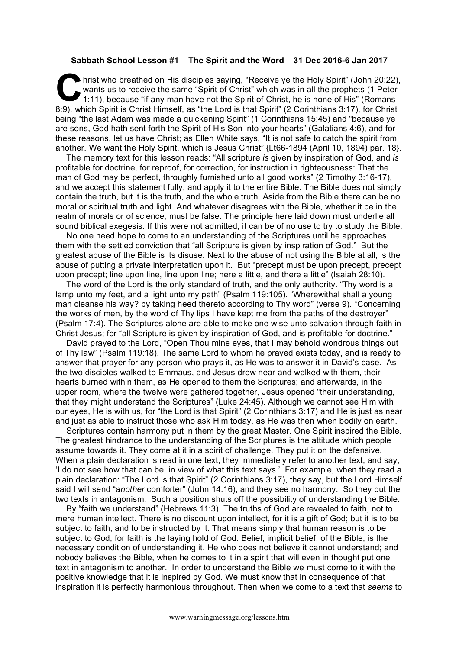## **Sabbath School Lesson #1 – The Spirit and the Word – 31 Dec 2016-6 Jan 2017**

hrist who breathed on His disciples saying, "Receive ye the Holy Spirit" (John 20:22), wants us to receive the same "Spirit of Christ" which was in all the prophets (1 Peter 1:11), because "if any man have not the Spirit of Christ, he is none of His" (Romans 8:9), which Spirit is Christ Himself, as "the Lord is that Spirit" (2 Corinthians 3:17), for Christ Spirit is Christ Himself, as "the Lord is that Spirit" (2 Corinthians 3:17), for Christ Air Spirit is Christ Himself, as " being "the last Adam was made a quickening Spirit" (1 Corinthians 15:45) and "because ye are sons, God hath sent forth the Spirit of His Son into your hearts" (Galatians 4:6), and for these reasons, let us have Christ; as Ellen White says, "It is not safe to catch the spirit from another. We want the Holy Spirit, which is Jesus Christ" {Lt66-1894 (April 10, 1894) par. 18}.

The memory text for this lesson reads: "All scripture *is* given by inspiration of God, and *is* profitable for doctrine, for reproof, for correction, for instruction in righteousness: That the man of God may be perfect, throughly furnished unto all good works" (2 Timothy 3:16-17), and we accept this statement fully, and apply it to the entire Bible. The Bible does not simply contain the truth, but it is the truth, and the whole truth. Aside from the Bible there can be no moral or spiritual truth and light. And whatever disagrees with the Bible, whether it be in the realm of morals or of science, must be false. The principle here laid down must underlie all sound biblical exegesis. If this were not admitted, it can be of no use to try to study the Bible.

No one need hope to come to an understanding of the Scriptures until he approaches them with the settled conviction that "all Scripture is given by inspiration of God." But the greatest abuse of the Bible is its disuse. Next to the abuse of not using the Bible at all, is the abuse of putting a private interpretation upon it. But "precept must be upon precept, precept upon precept; line upon line, line upon line; here a little, and there a little" (Isaiah 28:10).

The word of the Lord is the only standard of truth, and the only authority. "Thy word is a lamp unto my feet, and a light unto my path" (Psalm 119:105). "Wherewithal shall a young man cleanse his way? by taking heed thereto according to Thy word" (verse 9). "Concerning the works of men, by the word of Thy lips I have kept me from the paths of the destroyer" (Psalm 17:4). The Scriptures alone are able to make one wise unto salvation through faith in Christ Jesus; for "all Scripture is given by inspiration of God, and is profitable for doctrine."

David prayed to the Lord, "Open Thou mine eyes, that I may behold wondrous things out of Thy law" (Psalm 119:18). The same Lord to whom he prayed exists today, and is ready to answer that prayer for any person who prays it, as He was to answer it in David's case. As the two disciples walked to Emmaus, and Jesus drew near and walked with them, their hearts burned within them, as He opened to them the Scriptures; and afterwards, in the upper room, where the twelve were gathered together, Jesus opened "their understanding, that they might understand the Scriptures" (Luke 24:45). Although we cannot see Him with our eyes, He is with us, for "the Lord is that Spirit" (2 Corinthians 3:17) and He is just as near and just as able to instruct those who ask Him today, as He was then when bodily on earth.

Scriptures contain harmony put in them by the great Master. One Spirit inspired the Bible. The greatest hindrance to the understanding of the Scriptures is the attitude which people assume towards it. They come at it in a spirit of challenge. They put it on the defensive. When a plain declaration is read in one text, they immediately refer to another text, and say, 'I do not see how that can be, in view of what this text says.' For example, when they read a plain declaration: "The Lord is that Spirit" (2 Corinthians 3:17), they say, but the Lord Himself said I will send "*another* comforter" (John 14:16), and they see no harmony. So they put the two texts in antagonism. Such a position shuts off the possibility of understanding the Bible.

By "faith we understand" (Hebrews 11:3). The truths of God are revealed to faith, not to mere human intellect. There is no discount upon intellect, for it is a gift of God; but it is to be subject to faith, and to be instructed by it. That means simply that human reason is to be subject to God, for faith is the laying hold of God. Belief, implicit belief, of the Bible, is the necessary condition of understanding it. He who does not believe it cannot understand; and nobody believes the Bible, when he comes to it in a spirit that will even in thought put one text in antagonism to another. In order to understand the Bible we must come to it with the positive knowledge that it is inspired by God. We must know that in consequence of that inspiration it is perfectly harmonious throughout. Then when we come to a text that *seems* to